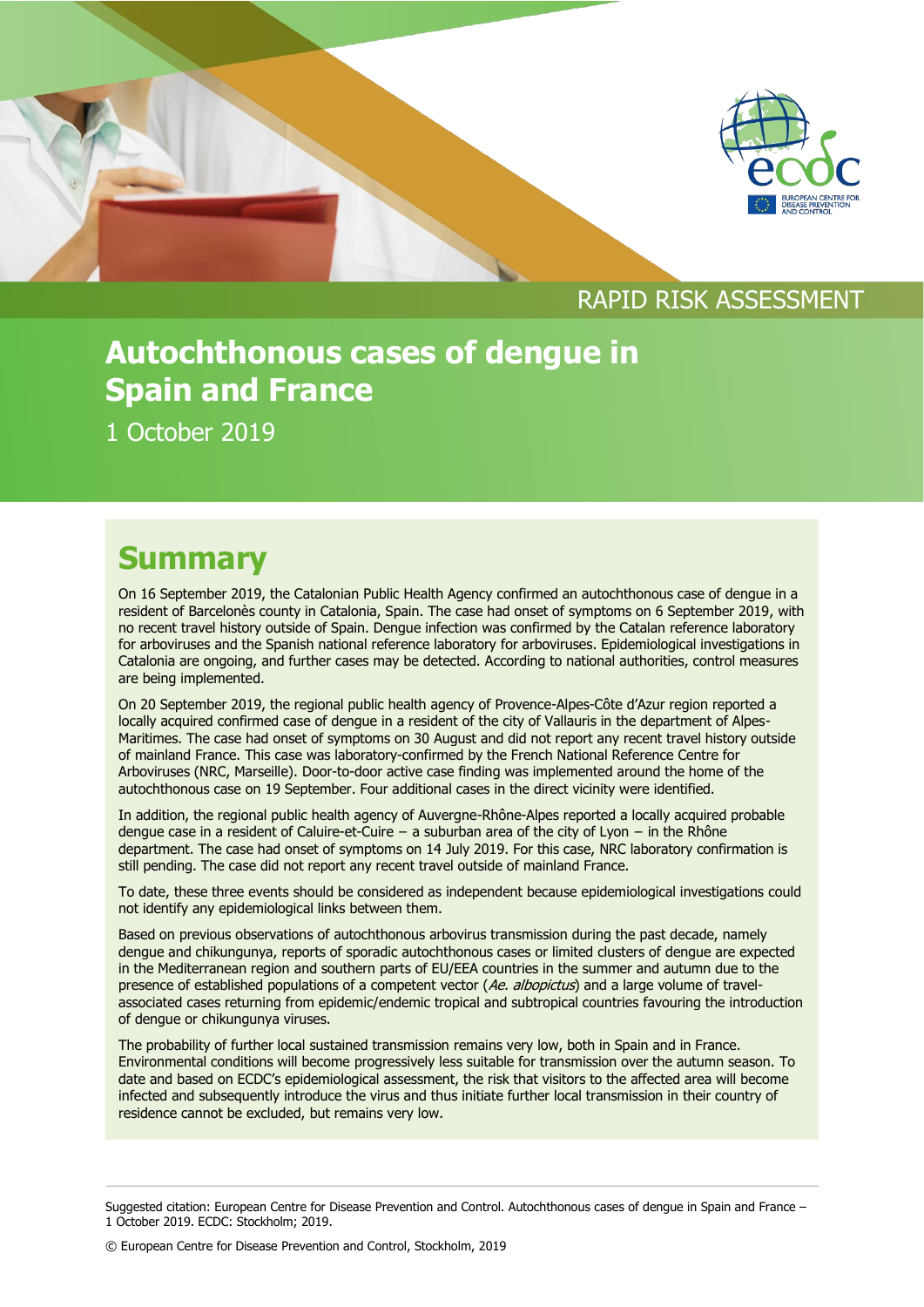



#### RAPID RISK ASSESSMENT

### **Autochthonous cases of dengue in Spain and France**

1 October 2019

#### **Summary**

On 16 September 2019, the Catalonian Public Health Agency confirmed an autochthonous case of dengue in a resident of Barcelonès county in Catalonia, Spain. The case had onset of symptoms on 6 September 2019, with no recent travel history outside of Spain. Dengue infection was confirmed by the Catalan reference laboratory for arboviruses and the Spanish national reference laboratory for arboviruses. Epidemiological investigations in Catalonia are ongoing, and further cases may be detected. According to national authorities, control measures are being implemented.

On 20 September 2019, the regional public health agency of Provence-Alpes-Côte d'Azur region reported a locally acquired confirmed case of dengue in a resident of the city of Vallauris in the department of Alpes-Maritimes. The case had onset of symptoms on 30 August and did not report any recent travel history outside of mainland France. This case was laboratory-confirmed by the French National Reference Centre for Arboviruses (NRC, Marseille). Door-to-door active case finding was implemented around the home of the autochthonous case on 19 September. Four additional cases in the direct vicinity were identified.

In addition, the regional public health agency of Auvergne-Rhône-Alpes reported a locally acquired probable dengue case in a resident of Caluire-et-Cuire − a suburban area of the city of Lyon − in the Rhône department. The case had onset of symptoms on 14 July 2019. For this case, NRC laboratory confirmation is still pending. The case did not report any recent travel outside of mainland France.

To date, these three events should be considered as independent because epidemiological investigations could not identify any epidemiological links between them.

Based on previous observations of autochthonous arbovirus transmission during the past decade, namely dengue and chikungunya, reports of sporadic autochthonous cases or limited clusters of dengue are expected in the Mediterranean region and southern parts of EU/EEA countries in the summer and autumn due to the presence of established populations of a competent vector (Ae. albopictus) and a large volume of travelassociated cases returning from epidemic/endemic tropical and subtropical countries favouring the introduction of dengue or chikungunya viruses.

The probability of further local sustained transmission remains very low, both in Spain and in France. Environmental conditions will become progressively less suitable for transmission over the autumn season. To date and based on ECDC's epidemiological assessment, the risk that visitors to the affected area will become infected and subsequently introduce the virus and thus initiate further local transmission in their country of residence cannot be excluded, but remains very low.

© European Centre for Disease Prevention and Control, Stockholm, 2019

Suggested citation: European Centre for Disease Prevention and Control. Autochthonous cases of dengue in Spain and France – 1 October 2019. ECDC: Stockholm; 2019.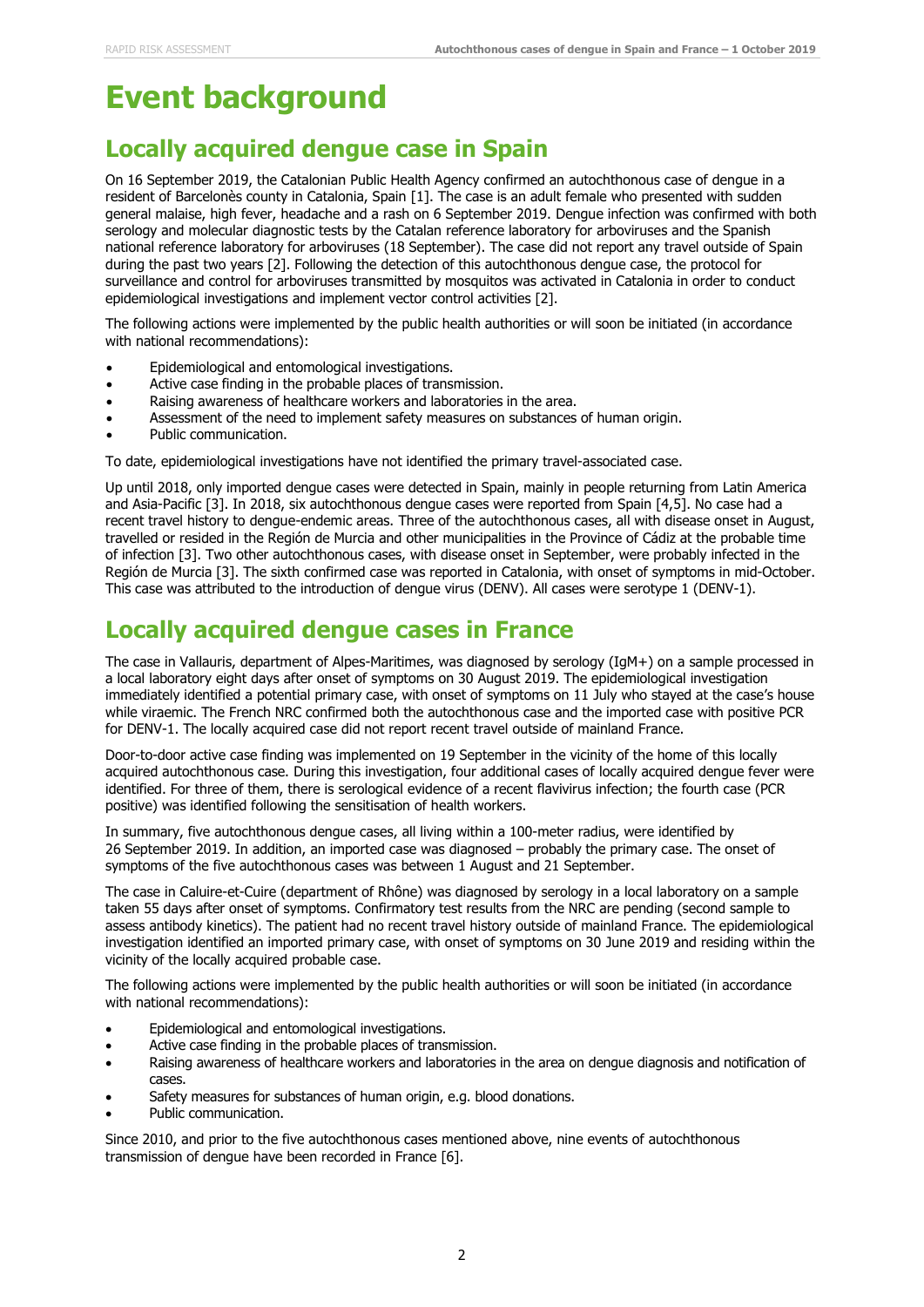# **Event background**

#### **Locally acquired dengue case in Spain**

On 16 September 2019, the Catalonian Public Health Agency confirmed an autochthonous case of dengue in a resident of Barcelonès county in Catalonia, Spain [1]. The case is an adult female who presented with sudden general malaise, high fever, headache and a rash on 6 September 2019. Dengue infection was confirmed with both serology and molecular diagnostic tests by the Catalan reference laboratory for arboviruses and the Spanish national reference laboratory for arboviruses (18 September). The case did not report any travel outside of Spain during the past two years [2]. Following the detection of this autochthonous dengue case, the protocol for surveillance and control for arboviruses transmitted by mosquitos was activated in Catalonia in order to conduct epidemiological investigations and implement vector control activities [2].

The following actions were implemented by the public health authorities or will soon be initiated (in accordance with national recommendations):

- Epidemiological and entomological investigations.
- Active case finding in the probable places of transmission.
- Raising awareness of healthcare workers and laboratories in the area.
- Assessment of the need to implement safety measures on substances of human origin.
- Public communication.

To date, epidemiological investigations have not identified the primary travel-associated case.

Up until 2018, only imported dengue cases were detected in Spain, mainly in people returning from Latin America and Asia-Pacific [3]. In 2018, six autochthonous dengue cases were reported from Spain [4,5]. No case had a recent travel history to dengue-endemic areas. Three of the autochthonous cases, all with disease onset in August, travelled or resided in the Región de Murcia and other municipalities in the Province of Cádiz at the probable time of infection [3]. Two other autochthonous cases, with disease onset in September, were probably infected in the Región de Murcia [3]. The sixth confirmed case was reported in Catalonia, with onset of symptoms in mid-October. This case was attributed to the introduction of dengue virus (DENV). All cases were serotype 1 (DENV-1).

#### **Locally acquired dengue cases in France**

The case in Vallauris, department of Alpes-Maritimes, was diagnosed by serology (IgM+) on a sample processed in a local laboratory eight days after onset of symptoms on 30 August 2019. The epidemiological investigation immediately identified a potential primary case, with onset of symptoms on 11 July who stayed at the case's house while viraemic. The French NRC confirmed both the autochthonous case and the imported case with positive PCR for DENV-1. The locally acquired case did not report recent travel outside of mainland France.

Door-to-door active case finding was implemented on 19 September in the vicinity of the home of this locally acquired autochthonous case. During this investigation, four additional cases of locally acquired dengue fever were identified. For three of them, there is serological evidence of a recent flavivirus infection; the fourth case (PCR positive) was identified following the sensitisation of health workers.

In summary, five autochthonous dengue cases, all living within a 100-meter radius, were identified by 26 September 2019. In addition, an imported case was diagnosed – probably the primary case. The onset of symptoms of the five autochthonous cases was between 1 August and 21 September.

The case in Caluire-et-Cuire (department of Rhône) was diagnosed by serology in a local laboratory on a sample taken 55 days after onset of symptoms. Confirmatory test results from the NRC are pending (second sample to assess antibody kinetics). The patient had no recent travel history outside of mainland France. The epidemiological investigation identified an imported primary case, with onset of symptoms on 30 June 2019 and residing within the vicinity of the locally acquired probable case.

The following actions were implemented by the public health authorities or will soon be initiated (in accordance with national recommendations):

- Epidemiological and entomological investigations.
- Active case finding in the probable places of transmission.
- Raising awareness of healthcare workers and laboratories in the area on dengue diagnosis and notification of cases.
- Safety measures for substances of human origin, e.g. blood donations.
- Public communication.

Since 2010, and prior to the five autochthonous cases mentioned above, nine events of autochthonous transmission of dengue have been recorded in France [6].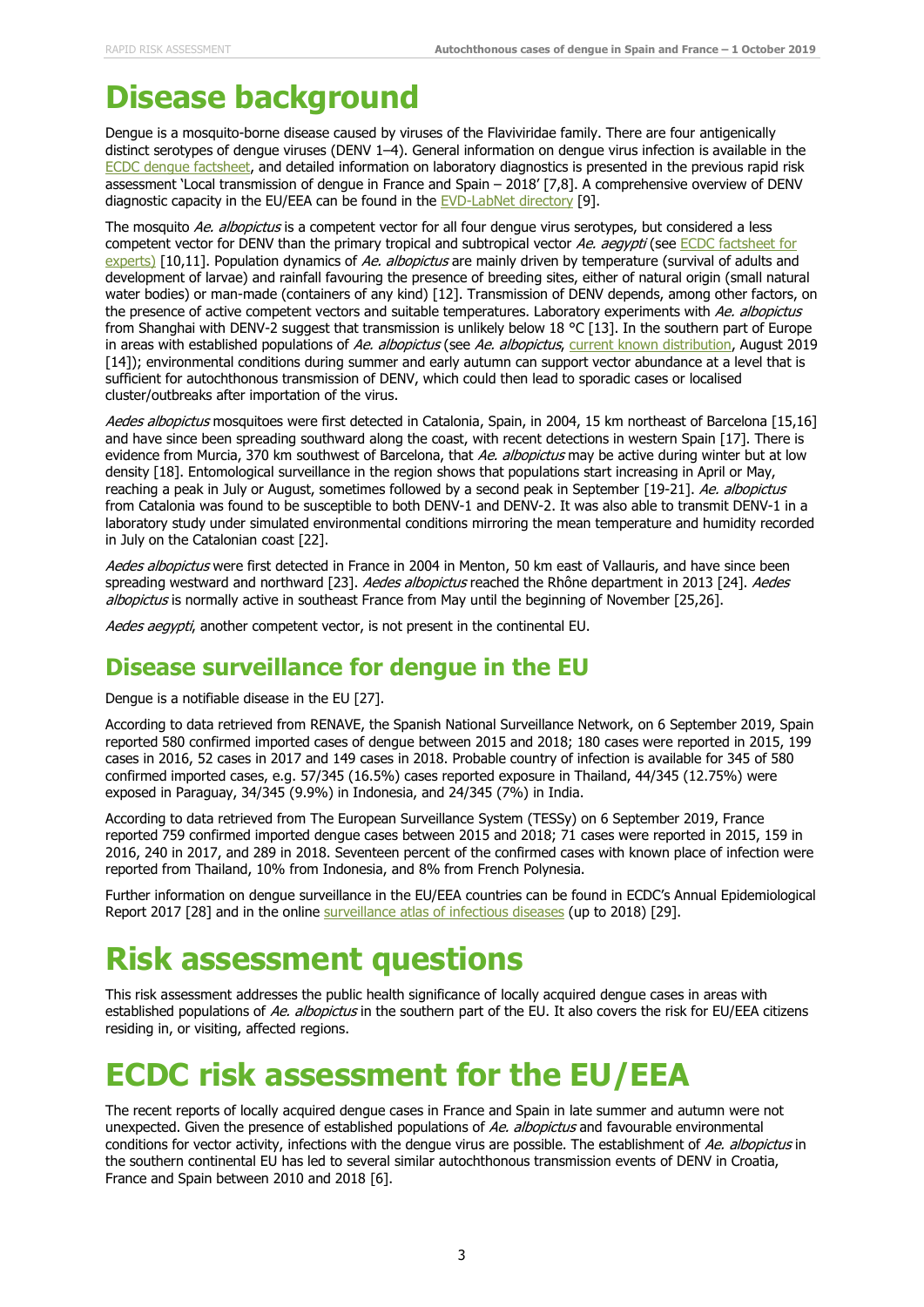### **Disease background**

Dengue is a mosquito-borne disease caused by viruses of the Flaviviridae family. There are four antigenically distinct serotypes of dengue viruses (DENV 1–4). General information on dengue virus infection is available in the [ECDC dengue factsheet,](https://ecdc.europa.eu/en/dengue-fever/facts/factsheet) and detailed information on laboratory diagnostics is presented in the previous rapid risk assessment 'Local transmission of dengue in France and Spain – 2018' [7,8]. A comprehensive overview of DENV diagnostic capacity in the EU/EEA can be found in the [EVD-LabNet directory](https://www.evd-labnet.eu/evd-labnet-directory-search) [9].

The mosquito Ae. albopictus is a competent vector for all four dengue virus serotypes, but considered a less competent vector for DENV than the primary tropical and subtropical vector Ae. aeqypti (see ECDC factsheet for [experts\)](https://ecdc.europa.eu/en/disease-vectors/facts/mosquito-factsheets/aedes-albopictus) [10,11]. Population dynamics of Ae. albopictus are mainly driven by temperature (survival of adults and development of larvae) and rainfall favouring the presence of breeding sites, either of natural origin (small natural water bodies) or man-made (containers of any kind) [12]. Transmission of DENV depends, among other factors, on the presence of active competent vectors and suitable temperatures. Laboratory experiments with Ae. albopictus from Shanghai with DENV-2 suggest that transmission is unlikely below 18 °C [13]. In the southern part of Europe in areas with established populations of Ae. albopictus (see Ae. albopictus, [current known distribution,](https://ecdc.europa.eu/en/publications-data/aedes-albopictus-current-known-distribution-august-2019) August 2019 [14]); environmental conditions during summer and early autumn can support vector abundance at a level that is sufficient for autochthonous transmission of DENV, which could then lead to sporadic cases or localised cluster/outbreaks after importation of the virus.

Aedes albopictus mosquitoes were first detected in Catalonia, Spain, in 2004, 15 km northeast of Barcelona [15,16] and have since been spreading southward along the coast, with recent detections in western Spain [17]. There is evidence from Murcia, 370 km southwest of Barcelona, that Ae. albopictus may be active during winter but at low density [18]. Entomological surveillance in the region shows that populations start increasing in April or May, reaching a peak in July or August, sometimes followed by a second peak in September [19-21]. Ae. albopictus from Catalonia was found to be susceptible to both DENV‐1 and DENV‐2. It was also able to transmit DENV‐1 in a laboratory study under simulated environmental conditions mirroring the mean temperature and humidity recorded in July on the Catalonian coast [22].

Aedes albopictus were first detected in France in 2004 in Menton, 50 km east of Vallauris, and have since been spreading westward and northward [23]. Aedes albopictus reached the Rhône department in 2013 [24]. Aedes albopictus is normally active in southeast France from May until the beginning of November [25,26].

Aedes aegypti, another competent vector, is not present in the continental EU.

#### **Disease surveillance for dengue in the EU**

Dengue is a notifiable disease in the EU [27].

According to data retrieved from RENAVE, the Spanish National Surveillance Network, on 6 September 2019, Spain reported 580 confirmed imported cases of dengue between 2015 and 2018; 180 cases were reported in 2015, 199 cases in 2016, 52 cases in 2017 and 149 cases in 2018. Probable country of infection is available for 345 of 580 confirmed imported cases, e.g. 57/345 (16.5%) cases reported exposure in Thailand, 44/345 (12.75%) were exposed in Paraguay, 34/345 (9.9%) in Indonesia, and 24/345 (7%) in India.

According to data retrieved from The European Surveillance System (TESSy) on 6 September 2019, France reported 759 confirmed imported dengue cases between 2015 and 2018; 71 cases were reported in 2015, 159 in 2016, 240 in 2017, and 289 in 2018. Seventeen percent of the confirmed cases with known place of infection were reported from Thailand, 10% from Indonesia, and 8% from French Polynesia.

Further information on dengue surveillance in the EU/EEA countries can be found in ECDC's Annual Epidemiological Report 2017 [28] and in the online [surveillance atlas of infectious diseases](https://ecdc.europa.eu/en/surveillance-atlas-infectious-diseases) (up to 2018) [29].

## **Risk assessment questions**

This risk assessment addresses the public health significance of locally acquired dengue cases in areas with established populations of Ae. albopictus in the southern part of the EU. It also covers the risk for EU/EEA citizens residing in, or visiting, affected regions.

## **ECDC risk assessment for the EU/EEA**

The recent reports of locally acquired dengue cases in France and Spain in late summer and autumn were not unexpected. Given the presence of established populations of Ae. albopictus and favourable environmental conditions for vector activity, infections with the dengue virus are possible. The establishment of Ae. albopictus in the southern continental EU has led to several similar autochthonous transmission events of DENV in Croatia, France and Spain between 2010 and 2018 [6].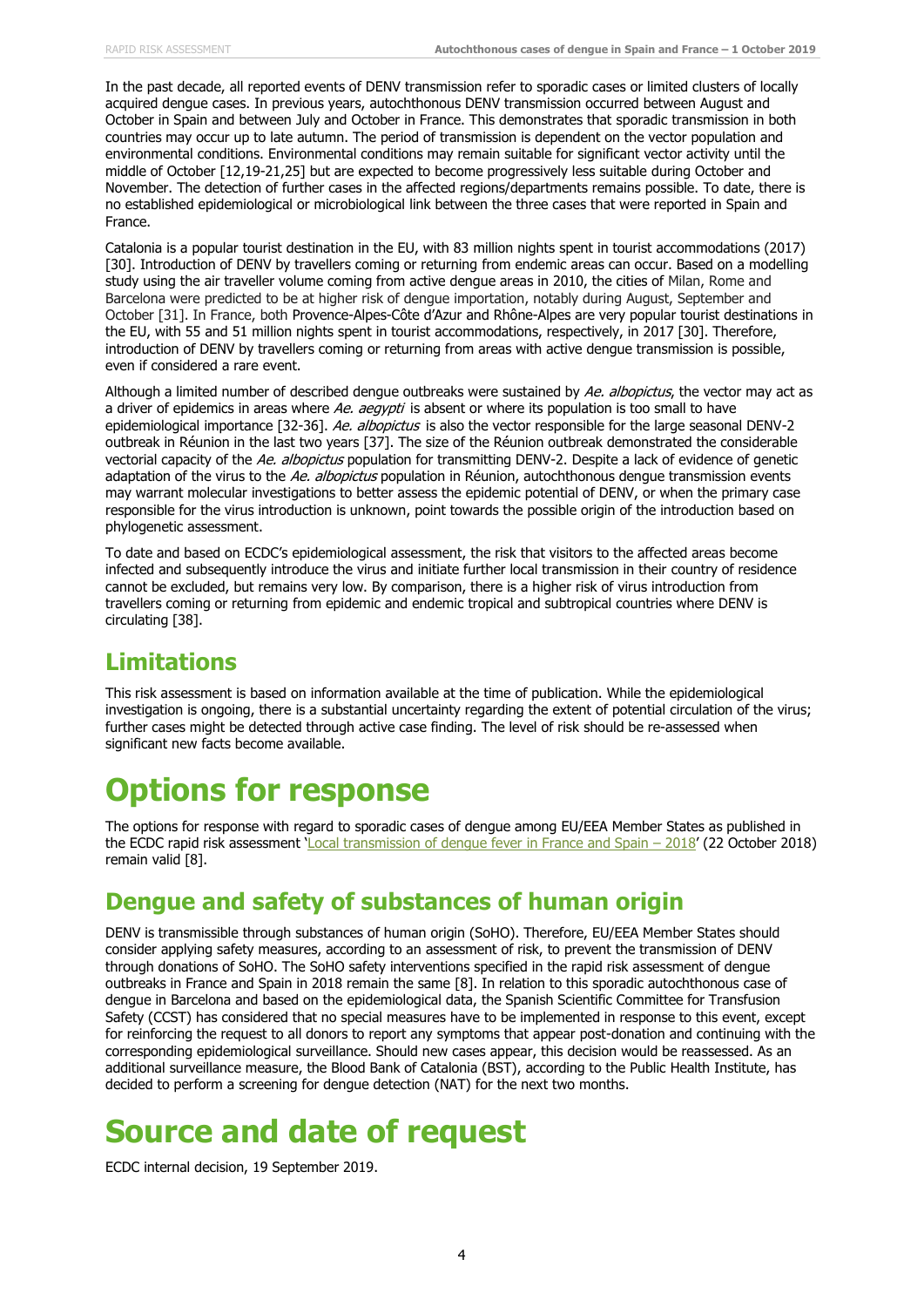In the past decade, all reported events of DENV transmission refer to sporadic cases or limited clusters of locally acquired dengue cases. In previous years, autochthonous DENV transmission occurred between August and October in Spain and between July and October in France. This demonstrates that sporadic transmission in both countries may occur up to late autumn. The period of transmission is dependent on the vector population and environmental conditions. Environmental conditions may remain suitable for significant vector activity until the middle of October [12,19-21,25] but are expected to become progressively less suitable during October and November. The detection of further cases in the affected regions/departments remains possible. To date, there is no established epidemiological or microbiological link between the three cases that were reported in Spain and France.

Catalonia is a popular tourist destination in the EU, with 83 million nights spent in tourist accommodations (2017) [30]. Introduction of DENV by travellers coming or returning from endemic areas can occur. Based on a modelling study using the air traveller volume coming from active dengue areas in 2010, the cities of Milan, Rome and Barcelona were predicted to be at higher risk of dengue importation, notably during August, September and October [31]. In France, both Provence-Alpes-Côte d'Azur and Rhône-Alpes are very popular tourist destinations in the EU, with 55 and 51 million nights spent in tourist accommodations, respectively, in 2017 [30]. Therefore, introduction of DENV by travellers coming or returning from areas with active dengue transmission is possible, even if considered a rare event.

Although a limited number of described dengue outbreaks were sustained by Ae. albopictus, the vector may act as a driver of epidemics in areas where Ae. aegypti is absent or where its population is too small to have epidemiological importance [32-36]. Ae. albopictus is also the vector responsible for the large seasonal DENV-2 outbreak in Réunion in the last two years [37]. The size of the Réunion outbreak demonstrated the considerable vectorial capacity of the Ae. albopictus population for transmitting DENV-2. Despite a lack of evidence of genetic adaptation of the virus to the Ae. albopictus population in Réunion, autochthonous dengue transmission events may warrant molecular investigations to better assess the epidemic potential of DENV, or when the primary case responsible for the virus introduction is unknown, point towards the possible origin of the introduction based on phylogenetic assessment.

To date and based on ECDC's epidemiological assessment, the risk that visitors to the affected areas become infected and subsequently introduce the virus and initiate further local transmission in their country of residence cannot be excluded, but remains very low. By comparison, there is a higher risk of virus introduction from travellers coming or returning from epidemic and endemic tropical and subtropical countries where DENV is circulating [38].

#### **Limitations**

This risk assessment is based on information available at the time of publication. While the epidemiological investigation is ongoing, there is a substantial uncertainty regarding the extent of potential circulation of the virus; further cases might be detected through active case finding. The level of risk should be re-assessed when significant new facts become available.

# **Options for response**

The options for response with regard to sporadic cases of dengue among EU/EEA Member States as published in the ECDC rapid risk assessment '[Local transmission of dengue fever in France and Spain](https://ecdc.europa.eu/sites/portal/files/documents/08-10-2018-RRA-Dengue-France.pdf) – 2018' (22 October 2018) remain valid [8].

#### **Dengue and safety of substances of human origin**

DENV is transmissible through substances of human origin (SoHO). Therefore, EU/EEA Member States should consider applying safety measures, according to an assessment of risk, to prevent the transmission of DENV through donations of SoHO. The SoHO safety interventions specified in the rapid risk assessment of dengue outbreaks in France and Spain in 2018 remain the same [8]. In relation to this sporadic autochthonous case of dengue in Barcelona and based on the epidemiological data, the Spanish Scientific Committee for Transfusion Safety (CCST) has considered that no special measures have to be implemented in response to this event, except for reinforcing the request to all donors to report any symptoms that appear post-donation and continuing with the corresponding epidemiological surveillance. Should new cases appear, this decision would be reassessed. As an additional surveillance measure, the Blood Bank of Catalonia (BST), according to the Public Health Institute, has decided to perform a screening for dengue detection (NAT) for the next two months.

## **Source and date of request**

ECDC internal decision, 19 September 2019.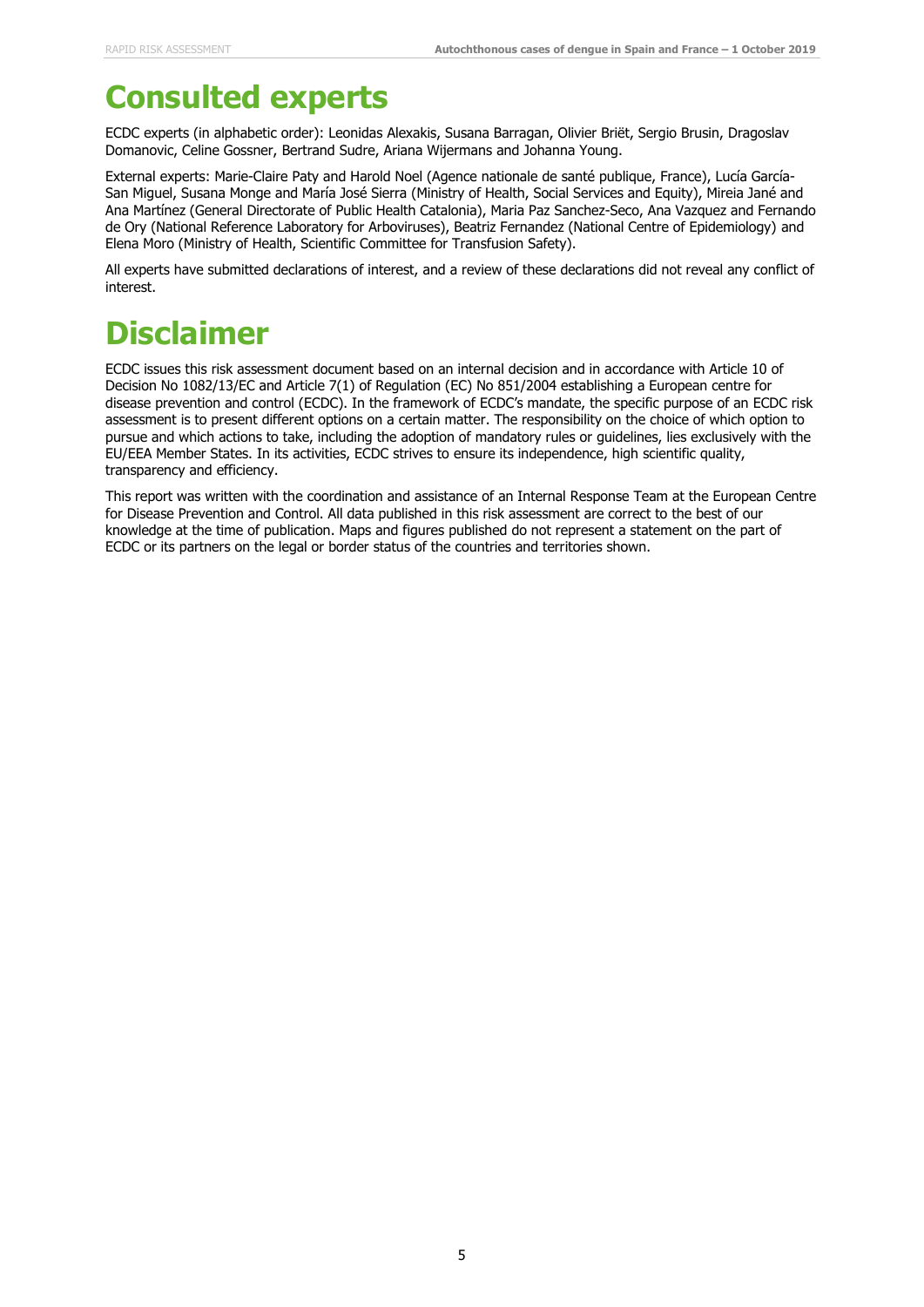## **Consulted experts**

ECDC experts (in alphabetic order): Leonidas Alexakis, Susana Barragan, Olivier Briët, Sergio Brusin, Dragoslav Domanovic, Celine Gossner, Bertrand Sudre, Ariana Wijermans and Johanna Young.

External experts: Marie-Claire Paty and Harold Noel (Agence nationale de santé publique, France), Lucía García-San Miguel, Susana Monge and María José Sierra (Ministry of Health, Social Services and Equity), Mireia Jané and Ana Martínez (General Directorate of Public Health Catalonia), Maria Paz Sanchez-Seco, Ana Vazquez and Fernando de Ory (National Reference Laboratory for Arboviruses), Beatriz Fernandez (National Centre of Epidemiology) and Elena Moro (Ministry of Health, Scientific Committee for Transfusion Safety).

All experts have submitted declarations of interest, and a review of these declarations did not reveal any conflict of interest.

# **Disclaimer**

ECDC issues this risk assessment document based on an internal decision and in accordance with Article 10 of Decision No 1082/13/EC and Article 7(1) of Regulation (EC) No 851/2004 establishing a European centre for disease prevention and control (ECDC). In the framework of ECDC's mandate, the specific purpose of an ECDC risk assessment is to present different options on a certain matter. The responsibility on the choice of which option to pursue and which actions to take, including the adoption of mandatory rules or guidelines, lies exclusively with the EU/EEA Member States. In its activities, ECDC strives to ensure its independence, high scientific quality, transparency and efficiency.

This report was written with the coordination and assistance of an Internal Response Team at the European Centre for Disease Prevention and Control. All data published in this risk assessment are correct to the best of our knowledge at the time of publication. Maps and figures published do not represent a statement on the part of ECDC or its partners on the legal or border status of the countries and territories shown.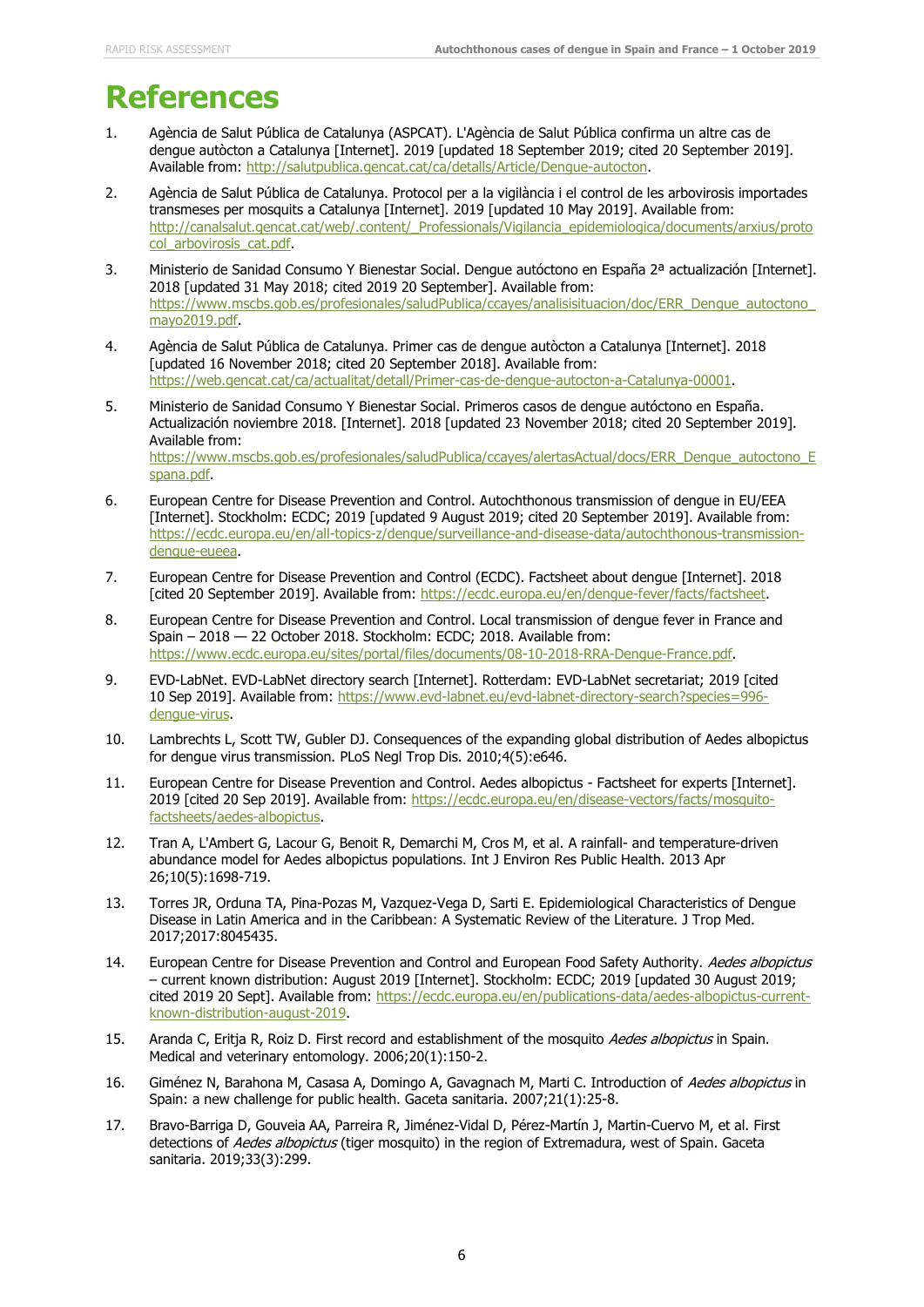### **References**

- 1. Agència de Salut Pública de Catalunya (ASPCAT). L'Agència de Salut Pública confirma un altre cas de dengue autòcton a Catalunya [Internet]. 2019 [updated 18 September 2019; cited 20 September 2019]. Available from: [http://salutpublica.gencat.cat/ca/detalls/Article/Dengue-autocton.](http://salutpublica.gencat.cat/ca/detalls/Article/Dengue-autocton)
- 2. Agència de Salut Pública de Catalunya. Protocol per a la vigilància i el control de les arbovirosis importades transmeses per mosquits a Catalunya [Internet]. 2019 [updated 10 May 2019]. Available from: [http://canalsalut.gencat.cat/web/.content/\\_Professionals/Vigilancia\\_epidemiologica/documents/arxius/proto](http://canalsalut.gencat.cat/web/.content/_Professionals/Vigilancia_epidemiologica/documents/arxius/protocol_arbovirosis_cat.pdf) [col\\_arbovirosis\\_cat.pdf.](http://canalsalut.gencat.cat/web/.content/_Professionals/Vigilancia_epidemiologica/documents/arxius/protocol_arbovirosis_cat.pdf)
- 3. Ministerio de Sanidad Consumo Y Bienestar Social. Dengue autóctono en España 2ª actualización [Internet]. 2018 [updated 31 May 2018; cited 2019 20 September]. Available from: https://www.mscbs.gob.es/profesionales/saludPublica/ccayes/analisisituacion/doc/ERR\_Dengue\_autoctono [mayo2019.pdf.](https://www.mscbs.gob.es/profesionales/saludPublica/ccayes/analisisituacion/doc/ERR_Dengue_autoctono_mayo2019.pdf)
- 4. Agència de Salut Pública de Catalunya. Primer cas de dengue autòcton a Catalunya [Internet]. 2018 [updated 16 November 2018; cited 20 September 2018]. Available from: [https://web.gencat.cat/ca/actualitat/detall/Primer-cas-de-dengue-autocton-a-Catalunya-00001.](https://web.gencat.cat/ca/actualitat/detall/Primer-cas-de-dengue-autocton-a-Catalunya-00001)
- 5. Ministerio de Sanidad Consumo Y Bienestar Social. Primeros casos de dengue autóctono en España. Actualización noviembre 2018. [Internet]. 2018 [updated 23 November 2018; cited 20 September 2019]. Available from: [https://www.mscbs.gob.es/profesionales/saludPublica/ccayes/alertasActual/docs/ERR\\_Dengue\\_autoctono\\_E](https://www.mscbs.gob.es/profesionales/saludPublica/ccayes/alertasActual/docs/ERR_Dengue_autoctono_Espana.pdf) [spana.pdf.](https://www.mscbs.gob.es/profesionales/saludPublica/ccayes/alertasActual/docs/ERR_Dengue_autoctono_Espana.pdf)
- 6. European Centre for Disease Prevention and Control. Autochthonous transmission of dengue in EU/EEA [Internet]. Stockholm: ECDC; 2019 [updated 9 August 2019; cited 20 September 2019]. Available from: [https://ecdc.europa.eu/en/all-topics-z/dengue/surveillance-and-disease-data/autochthonous-transmission](https://ecdc.europa.eu/en/all-topics-z/dengue/surveillance-and-disease-data/autochthonous-transmission-dengue-eueea)[dengue-eueea.](https://ecdc.europa.eu/en/all-topics-z/dengue/surveillance-and-disease-data/autochthonous-transmission-dengue-eueea)
- 7. European Centre for Disease Prevention and Control (ECDC). Factsheet about dengue [Internet]. 2018 [cited 20 September 2019]. Available from: [https://ecdc.europa.eu/en/dengue-fever/facts/factsheet.](https://ecdc.europa.eu/en/dengue-fever/facts/factsheet)
- 8. European Centre for Disease Prevention and Control. Local transmission of dengue fever in France and Spain – 2018 — 22 October 2018. Stockholm: ECDC; 2018. Available from: [https://www.ecdc.europa.eu/sites/portal/files/documents/08-10-2018-RRA-Dengue-France.pdf.](https://www.ecdc.europa.eu/sites/portal/files/documents/08-10-2018-RRA-Dengue-France.pdf)
- 9. EVD-LabNet. EVD-LabNet directory search [Internet]. Rotterdam: EVD-LabNet secretariat; 2019 [cited 10 Sep 2019]. Available from: [https://www.evd-labnet.eu/evd-labnet-directory-search?species=996](https://www.evd-labnet.eu/evd-labnet-directory-search?species=996-dengue-virus) [dengue-virus.](https://www.evd-labnet.eu/evd-labnet-directory-search?species=996-dengue-virus)
- 10. Lambrechts L, Scott TW, Gubler DJ. Consequences of the expanding global distribution of Aedes albopictus for dengue virus transmission. PLoS Negl Trop Dis. 2010;4(5):e646.
- 11. European Centre for Disease Prevention and Control. Aedes albopictus Factsheet for experts [Internet]. 2019 [cited 20 Sep 2019]. Available from: [https://ecdc.europa.eu/en/disease-vectors/facts/mosquito](https://ecdc.europa.eu/en/disease-vectors/facts/mosquito-factsheets/aedes-albopictus)[factsheets/aedes-albopictus.](https://ecdc.europa.eu/en/disease-vectors/facts/mosquito-factsheets/aedes-albopictus)
- 12. Tran A, L'Ambert G, Lacour G, Benoit R, Demarchi M, Cros M, et al. A rainfall- and temperature-driven abundance model for Aedes albopictus populations. Int J Environ Res Public Health. 2013 Apr 26;10(5):1698-719.
- 13. Torres JR, Orduna TA, Pina-Pozas M, Vazquez-Vega D, Sarti E. Epidemiological Characteristics of Dengue Disease in Latin America and in the Caribbean: A Systematic Review of the Literature. J Trop Med. 2017;2017:8045435.
- 14. European Centre for Disease Prevention and Control and European Food Safety Authority. Aedes albopictus – current known distribution: August 2019 [Internet]. Stockholm: ECDC; 2019 [updated 30 August 2019; cited 2019 20 Sept]. Available from: [https://ecdc.europa.eu/en/publications-data/aedes-albopictus-current](https://ecdc.europa.eu/en/publications-data/aedes-albopictus-current-known-distribution-august-2019)[known-distribution-august-2019.](https://ecdc.europa.eu/en/publications-data/aedes-albopictus-current-known-distribution-august-2019)
- 15. Aranda C, Eritja R, Roiz D. First record and establishment of the mosquito Aedes albopictus in Spain. Medical and veterinary entomology. 2006;20(1):150-2.
- 16. Giménez N, Barahona M, Casasa A, Domingo A, Gavagnach M, Marti C. Introduction of Aedes albopictus in Spain: a new challenge for public health. Gaceta sanitaria. 2007;21(1):25-8.
- 17. Bravo-Barriga D, Gouveia AA, Parreira R, Jiménez-Vidal D, Pérez-Martín J, Martin-Cuervo M, et al. First detections of Aedes albopictus (tiger mosquito) in the region of Extremadura, west of Spain. Gaceta sanitaria. 2019;33(3):299.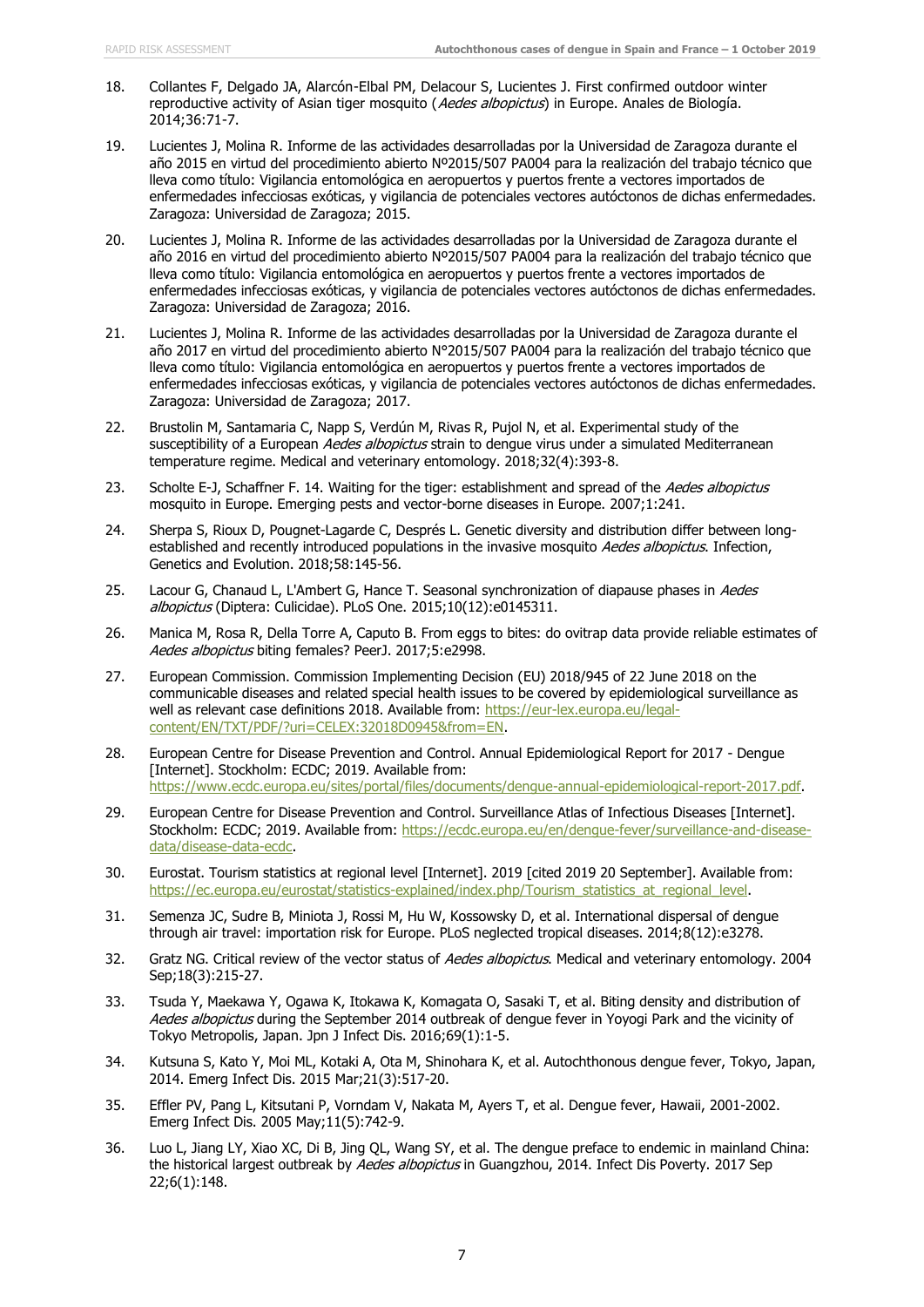- 18. Collantes F, Delgado JA, Alarcón-Elbal PM, Delacour S, Lucientes J. First confirmed outdoor winter reproductive activity of Asian tiger mosquito (Aedes albopictus) in Europe. Anales de Biología. 2014;36:71-7.
- 19. Lucientes J, Molina R. Informe de las actividades desarrolladas por la Universidad de Zaragoza durante el año 2015 en virtud del procedimiento abierto Nº2015/507 PA004 para la realización del trabajo técnico que lleva como título: Vigilancia entomológica en aeropuertos y puertos frente a vectores importados de enfermedades infecciosas exóticas, y vigilancia de potenciales vectores autóctonos de dichas enfermedades. Zaragoza: Universidad de Zaragoza; 2015.
- 20. Lucientes J, Molina R. Informe de las actividades desarrolladas por la Universidad de Zaragoza durante el año 2016 en virtud del procedimiento abierto Nº2015/507 PA004 para la realización del trabajo técnico que lleva como título: Vigilancia entomológica en aeropuertos y puertos frente a vectores importados de enfermedades infecciosas exóticas, y vigilancia de potenciales vectores autóctonos de dichas enfermedades. Zaragoza: Universidad de Zaragoza; 2016.
- 21. Lucientes J, Molina R. Informe de las actividades desarrolladas por la Universidad de Zaragoza durante el año 2017 en virtud del procedimiento abierto N°2015/507 PA004 para la realización del trabajo técnico que lleva como título: Vigilancia entomológica en aeropuertos y puertos frente a vectores importados de enfermedades infecciosas exóticas, y vigilancia de potenciales vectores autóctonos de dichas enfermedades. Zaragoza: Universidad de Zaragoza; 2017.
- 22. Brustolin M, Santamaria C, Napp S, Verdún M, Rivas R, Pujol N, et al. Experimental study of the susceptibility of a European Aedes albopictus strain to dengue virus under a simulated Mediterranean temperature regime. Medical and veterinary entomology. 2018;32(4):393-8.
- 23. Scholte E-J, Schaffner F. 14. Waiting for the tiger: establishment and spread of the Aedes albopictus mosquito in Europe. Emerging pests and vector-borne diseases in Europe. 2007;1:241.
- 24. Sherpa S, Rioux D, Pougnet-Lagarde C, Després L. Genetic diversity and distribution differ between longestablished and recently introduced populations in the invasive mosquito Aedes albopictus. Infection, Genetics and Evolution. 2018;58:145-56.
- 25. Lacour G, Chanaud L, L'Ambert G, Hance T. Seasonal synchronization of diapause phases in Aedes albopictus (Diptera: Culicidae). PLoS One. 2015;10(12):e0145311.
- 26. Manica M, Rosa R, Della Torre A, Caputo B. From eggs to bites: do ovitrap data provide reliable estimates of Aedes albopictus biting females? PeerJ. 2017;5:e2998.
- 27. European Commission. Commission Implementing Decision (EU) 2018/945 of 22 June 2018 on the communicable diseases and related special health issues to be covered by epidemiological surveillance as well as relevant case definitions 2018. Available from: [https://eur-lex.europa.eu/legal](https://eur-lex.europa.eu/legal-content/EN/TXT/PDF/?uri=CELEX:32018D0945&from=EN)[content/EN/TXT/PDF/?uri=CELEX:32018D0945&from=EN.](https://eur-lex.europa.eu/legal-content/EN/TXT/PDF/?uri=CELEX:32018D0945&from=EN)
- 28. European Centre for Disease Prevention and Control. Annual Epidemiological Report for 2017 Dengue [Internet]. Stockholm: ECDC; 2019. Available from: [https://www.ecdc.europa.eu/sites/portal/files/documents/dengue-annual-epidemiological-report-2017.pdf.](https://www.ecdc.europa.eu/sites/portal/files/documents/dengue-annual-epidemiological-report-2017.pdf)
- 29. European Centre for Disease Prevention and Control. Surveillance Atlas of Infectious Diseases [Internet]. Stockholm: ECDC; 2019. Available from: [https://ecdc.europa.eu/en/dengue-fever/surveillance-and-disease](https://ecdc.europa.eu/en/dengue-fever/surveillance-and-disease-data/disease-data-ecdc)[data/disease-data-ecdc.](https://ecdc.europa.eu/en/dengue-fever/surveillance-and-disease-data/disease-data-ecdc)
- 30. Eurostat. Tourism statistics at regional level [Internet]. 2019 [cited 2019 20 September]. Available from: [https://ec.europa.eu/eurostat/statistics-explained/index.php/Tourism\\_statistics\\_at\\_regional\\_level.](https://ec.europa.eu/eurostat/statistics-explained/index.php/Tourism_statistics_at_regional_level)
- 31. Semenza JC, Sudre B, Miniota J, Rossi M, Hu W, Kossowsky D, et al. International dispersal of dengue through air travel: importation risk for Europe. PLoS neglected tropical diseases. 2014;8(12):e3278.
- 32. Gratz NG. Critical review of the vector status of Aedes albopictus. Medical and veterinary entomology. 2004 Sep;18(3):215-27.
- 33. Tsuda Y, Maekawa Y, Ogawa K, Itokawa K, Komagata O, Sasaki T, et al. Biting density and distribution of Aedes albopictus during the September 2014 outbreak of dengue fever in Yoyogi Park and the vicinity of Tokyo Metropolis, Japan. Jpn J Infect Dis. 2016;69(1):1-5.
- 34. Kutsuna S, Kato Y, Moi ML, Kotaki A, Ota M, Shinohara K, et al. Autochthonous dengue fever, Tokyo, Japan, 2014. Emerg Infect Dis. 2015 Mar;21(3):517-20.
- 35. Effler PV, Pang L, Kitsutani P, Vorndam V, Nakata M, Ayers T, et al. Dengue fever, Hawaii, 2001-2002. Emerg Infect Dis. 2005 May;11(5):742-9.
- 36. Luo L, Jiang LY, Xiao XC, Di B, Jing QL, Wang SY, et al. The dengue preface to endemic in mainland China: the historical largest outbreak by Aedes albopictus in Guangzhou, 2014. Infect Dis Poverty. 2017 Sep 22;6(1):148.